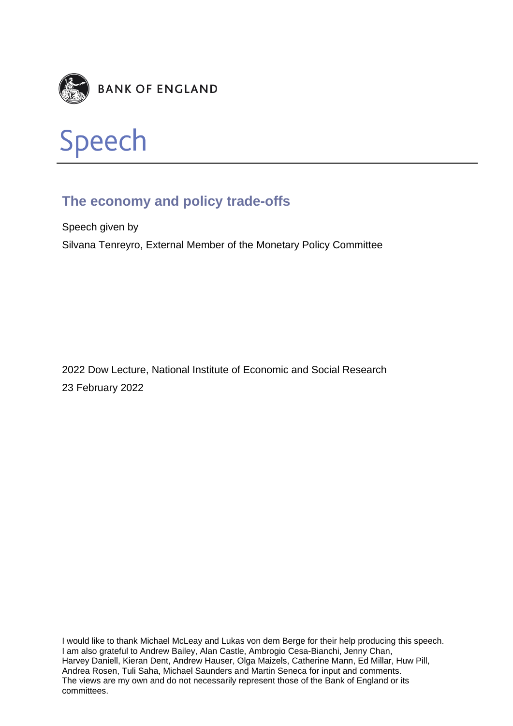



# **The economy and policy trade-offs**

Speech given by Silvana Tenreyro, External Member of the Monetary Policy Committee

2022 Dow Lecture, National Institute of Economic and Social Research 23 February 2022

I would like to thank Michael McLeay and Lukas von dem Berge for their help producing this speech. I am also grateful to Andrew Bailey, Alan Castle, Ambrogio Cesa-Bianchi, Jenny Chan, Harvey Daniell, Kieran Dent, Andrew Hauser, Olga Maizels, Catherine Mann, Ed Millar, Huw Pill, Andrea Rosen, Tuli Saha, Michael Saunders and Martin Seneca for input and comments. The views are my own and do not necessarily represent those of the Bank of England or its committees.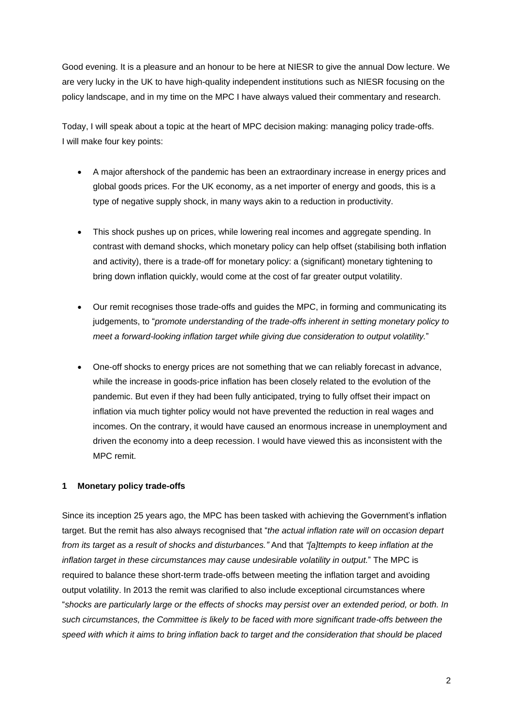Good evening. It is a pleasure and an honour to be here at NIESR to give the annual Dow lecture. We are very lucky in the UK to have high-quality independent institutions such as NIESR focusing on the policy landscape, and in my time on the MPC I have always valued their commentary and research.

Today, I will speak about a topic at the heart of MPC decision making: managing policy trade-offs. I will make four key points:

- A major aftershock of the pandemic has been an extraordinary increase in energy prices and global goods prices. For the UK economy, as a net importer of energy and goods, this is a type of negative supply shock, in many ways akin to a reduction in productivity.
- This shock pushes up on prices, while lowering real incomes and aggregate spending. In contrast with demand shocks, which monetary policy can help offset (stabilising both inflation and activity), there is a trade-off for monetary policy: a (significant) monetary tightening to bring down inflation quickly, would come at the cost of far greater output volatility.
- Our remit recognises those trade-offs and guides the MPC, in forming and communicating its judgements, to "*promote understanding of the trade-offs inherent in setting monetary policy to meet a forward-looking inflation target while giving due consideration to output volatility.*"
- One-off shocks to energy prices are not something that we can reliably forecast in advance, while the increase in goods-price inflation has been closely related to the evolution of the pandemic. But even if they had been fully anticipated, trying to fully offset their impact on inflation via much tighter policy would not have prevented the reduction in real wages and incomes. On the contrary, it would have caused an enormous increase in unemployment and driven the economy into a deep recession. I would have viewed this as inconsistent with the MPC remit.

# **1 Monetary policy trade-offs**

Since its inception 25 years ago, the MPC has been tasked with achieving the Government's inflation target. But the remit has also always recognised that "*the actual inflation rate will on occasion depart from its target as a result of shocks and disturbances."* And that *"[a]ttempts to keep inflation at the inflation target in these circumstances may cause undesirable volatility in output.*" The MPC is required to balance these short-term trade-offs between meeting the inflation target and avoiding output volatility. In 2013 the remit was clarified to also include exceptional circumstances where "*shocks are particularly large or the effects of shocks may persist over an extended period, or both. In such circumstances, the Committee is likely to be faced with more significant trade-offs between the speed with which it aims to bring inflation back to target and the consideration that should be placed*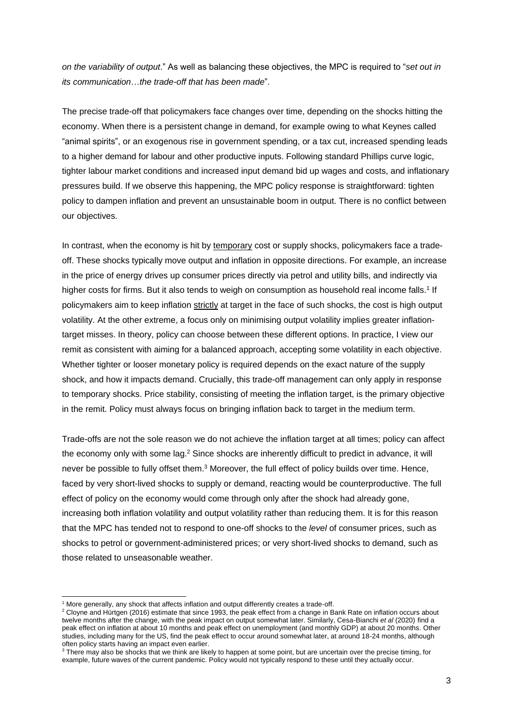*on the variability of output*." As well as balancing these objectives, the MPC is required to "*set out in its communication*…*the trade-off that has been made*".

The precise trade-off that policymakers face changes over time, depending on the shocks hitting the economy. When there is a persistent change in demand, for example owing to what Keynes called "animal spirits", or an exogenous rise in government spending, or a tax cut, increased spending leads to a higher demand for labour and other productive inputs. Following standard Phillips curve logic, tighter labour market conditions and increased input demand bid up wages and costs, and inflationary pressures build. If we observe this happening, the MPC policy response is straightforward: tighten policy to dampen inflation and prevent an unsustainable boom in output. There is no conflict between our objectives.

In contrast, when the economy is hit by temporary cost or supply shocks, policymakers face a tradeoff. These shocks typically move output and inflation in opposite directions. For example, an increase in the price of energy drives up consumer prices directly via petrol and utility bills, and indirectly via higher costs for firms. But it also tends to weigh on consumption as household real income falls.<sup>1</sup> If policymakers aim to keep inflation strictly at target in the face of such shocks, the cost is high output volatility. At the other extreme, a focus only on minimising output volatility implies greater inflationtarget misses. In theory, policy can choose between these different options. In practice, I view our remit as consistent with aiming for a balanced approach, accepting some volatility in each objective. Whether tighter or looser monetary policy is required depends on the exact nature of the supply shock, and how it impacts demand. Crucially, this trade-off management can only apply in response to temporary shocks. Price stability, consisting of meeting the inflation target, is the primary objective in the remit. Policy must always focus on bringing inflation back to target in the medium term.

Trade-offs are not the sole reason we do not achieve the inflation target at all times; policy can affect the economy only with some lag.<sup>2</sup> Since shocks are inherently difficult to predict in advance, it will never be possible to fully offset them.<sup>3</sup> Moreover, the full effect of policy builds over time. Hence, faced by very short-lived shocks to supply or demand, reacting would be counterproductive. The full effect of policy on the economy would come through only after the shock had already gone, increasing both inflation volatility and output volatility rather than reducing them. It is for this reason that the MPC has tended not to respond to one-off shocks to the *level* of consumer prices, such as shocks to petrol or government-administered prices; or very short-lived shocks to demand, such as those related to unseasonable weather.

-

<sup>&</sup>lt;sup>1</sup> More generally, any shock that affects inflation and output differently creates a trade-off.

<sup>2</sup> Cloyne and Hürtgen (2016) estimate that since 1993, the peak effect from a change in Bank Rate on inflation occurs about twelve months after the change, with the peak impact on output somewhat later. Similarly, Cesa-Bianchi *et al* (2020) find a peak effect on inflation at about 10 months and peak effect on unemployment (and monthly GDP) at about 20 months. Other studies, including many for the US, find the peak effect to occur around somewhat later, at around 18-24 months, although often policy starts having an impact even earlier.

<sup>3</sup> There may also be shocks that we think are likely to happen at some point, but are uncertain over the precise timing, for example, future waves of the current pandemic. Policy would not typically respond to these until they actually occur.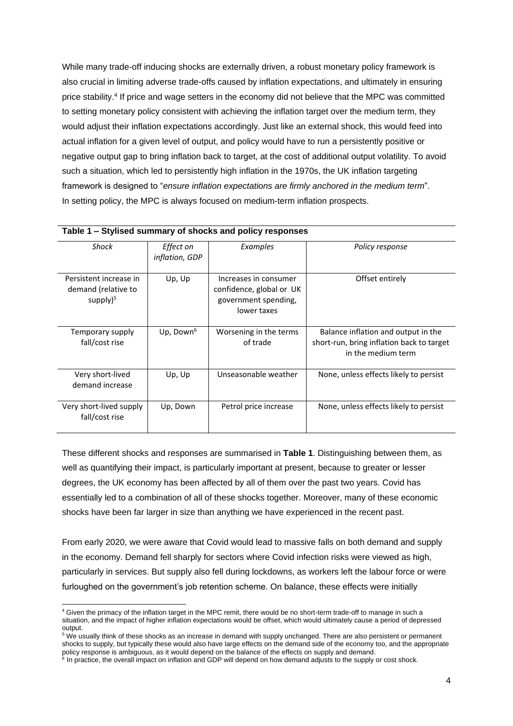While many trade-off inducing shocks are externally driven, a robust monetary policy framework is also crucial in limiting adverse trade-offs caused by inflation expectations, and ultimately in ensuring price stability.<sup>4</sup> If price and wage setters in the economy did not believe that the MPC was committed to setting monetary policy consistent with achieving the inflation target over the medium term, they would adjust their inflation expectations accordingly. Just like an external shock, this would feed into actual inflation for a given level of output, and policy would have to run a persistently positive or negative output gap to bring inflation back to target, at the cost of additional output volatility. To avoid such a situation, which led to persistently high inflation in the 1970s, the UK inflation targeting framework is designed to "*ensure inflation expectations are firmly anchored in the medium term*". In setting policy, the MPC is always focused on medium-term inflation prospects.

| Table T – Stylised summary of shocks and policy responses     |                             |                                                                                          |                                                                                                        |
|---------------------------------------------------------------|-----------------------------|------------------------------------------------------------------------------------------|--------------------------------------------------------------------------------------------------------|
| Shock                                                         | Effect on<br>inflation, GDP | Examples                                                                                 | Policy response                                                                                        |
| Persistent increase in<br>demand (relative to<br>supply $)^5$ | Up, Up                      | Increases in consumer<br>confidence, global or UK<br>government spending,<br>lower taxes | Offset entirely                                                                                        |
| Temporary supply<br>fall/cost rise                            | Up, Down $6$                | Worsening in the terms<br>of trade                                                       | Balance inflation and output in the<br>short-run, bring inflation back to target<br>in the medium term |
| Very short-lived<br>demand increase                           | Up, Up                      | Unseasonable weather                                                                     | None, unless effects likely to persist                                                                 |
| Very short-lived supply<br>fall/cost rise                     | Up, Down                    | Petrol price increase                                                                    | None, unless effects likely to persist                                                                 |

# **Table 1 – Stylised summary of shocks and policy responses**

These different shocks and responses are summarised in **Table 1**. Distinguishing between them, as well as quantifying their impact, is particularly important at present, because to greater or lesser degrees, the UK economy has been affected by all of them over the past two years. Covid has essentially led to a combination of all of these shocks together. Moreover, many of these economic shocks have been far larger in size than anything we have experienced in the recent past.

From early 2020, we were aware that Covid would lead to massive falls on both demand and supply in the economy. Demand fell sharply for sectors where Covid infection risks were viewed as high, particularly in services. But supply also fell during lockdowns, as workers left the labour force or were furloughed on the government's job retention scheme. On balance, these effects were initially

1

<sup>4</sup> Given the primacy of the inflation target in the MPC remit, there would be no short-term trade-off to manage in such a situation, and the impact of higher inflation expectations would be offset, which would ultimately cause a period of depressed output.

<sup>&</sup>lt;sup>5</sup> We usually think of these shocks as an increase in demand with supply unchanged. There are also persistent or permanent shocks to supply, but typically these would also have large effects on the demand side of the economy too, and the appropriate policy response is ambiguous, as it would depend on the balance of the effects on supply and demand.

<sup>&</sup>lt;sup>6</sup> In practice, the overall impact on inflation and GDP will depend on how demand adjusts to the supply or cost shock.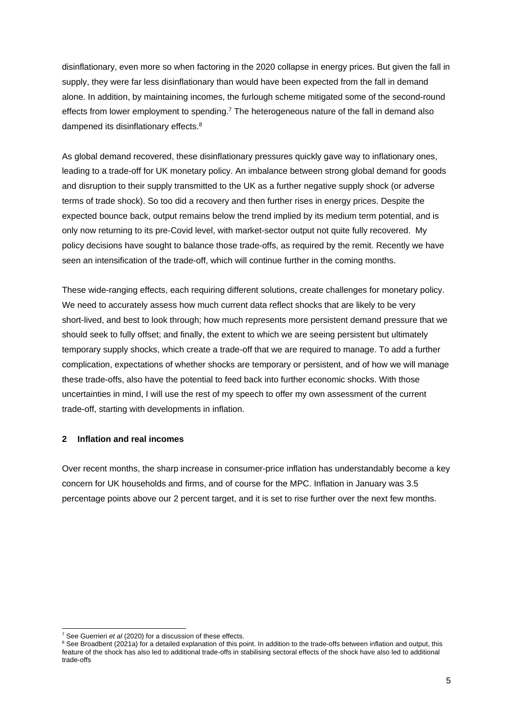disinflationary, even more so when factoring in the 2020 collapse in energy prices. But given the fall in supply, they were far less disinflationary than would have been expected from the fall in demand alone. In addition, by maintaining incomes, the furlough scheme mitigated some of the second-round effects from lower employment to spending.<sup>7</sup> The heterogeneous nature of the fall in demand also dampened its disinflationary effects.<sup>8</sup>

As global demand recovered, these disinflationary pressures quickly gave way to inflationary ones, leading to a trade-off for UK monetary policy. An imbalance between strong global demand for goods and disruption to their supply transmitted to the UK as a further negative supply shock (or adverse terms of trade shock). So too did a recovery and then further rises in energy prices. Despite the expected bounce back, output remains below the trend implied by its medium term potential, and is only now returning to its pre-Covid level, with market-sector output not quite fully recovered. My policy decisions have sought to balance those trade-offs, as required by the remit. Recently we have seen an intensification of the trade-off, which will continue further in the coming months.

These wide-ranging effects, each requiring different solutions, create challenges for monetary policy. We need to accurately assess how much current data reflect shocks that are likely to be very short-lived, and best to look through; how much represents more persistent demand pressure that we should seek to fully offset; and finally, the extent to which we are seeing persistent but ultimately temporary supply shocks, which create a trade-off that we are required to manage. To add a further complication, expectations of whether shocks are temporary or persistent, and of how we will manage these trade-offs, also have the potential to feed back into further economic shocks. With those uncertainties in mind, I will use the rest of my speech to offer my own assessment of the current trade-off, starting with developments in inflation.

# **2 Inflation and real incomes**

Over recent months, the sharp increase in consumer-price inflation has understandably become a key concern for UK households and firms, and of course for the MPC. Inflation in January was 3.5 percentage points above our 2 percent target, and it is set to rise further over the next few months.

-

<sup>7</sup> See Guerrieri *et al* (2020) for a discussion of these effects.

<sup>&</sup>lt;sup>8</sup> See Broadbent (2021a) for a detailed explanation of this point. In addition to the trade-offs between inflation and output, this feature of the shock has also led to additional trade-offs in stabilising sectoral effects of the shock have also led to additional trade-offs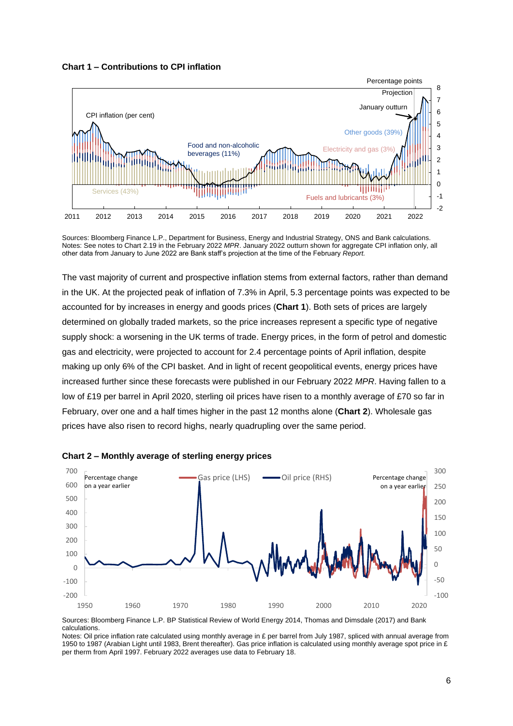



Sources: Bloomberg Finance L.P., Department for Business, Energy and Industrial Strategy, ONS and Bank calculations. Notes: See notes to Chart 2.19 in the February 2022 *MPR*. January 2022 outturn shown for aggregate CPI inflation only, all other data from January to June 2022 are Bank staff's projection at the time of the February *Report.*

The vast majority of current and prospective inflation stems from external factors, rather than demand in the UK. At the projected peak of inflation of 7.3% in April, 5.3 percentage points was expected to be accounted for by increases in energy and goods prices (**Chart 1**). Both sets of prices are largely determined on globally traded markets, so the price increases represent a specific type of negative supply shock: a worsening in the UK terms of trade. Energy prices, in the form of petrol and domestic gas and electricity, were projected to account for 2.4 percentage points of April inflation, despite making up only 6% of the CPI basket. And in light of recent geopolitical events, energy prices have increased further since these forecasts were published in our February 2022 *MPR*. Having fallen to a low of £19 per barrel in April 2020, sterling oil prices have risen to a monthly average of £70 so far in February, over one and a half times higher in the past 12 months alone (**Chart 2**). Wholesale gas prices have also risen to record highs, nearly quadrupling over the same period.



**Chart 2 – Monthly average of sterling energy prices**

Sources: Bloomberg Finance L.P. BP Statistical Review of World Energy 2014, Thomas and Dimsdale (2017) and Bank calculations.

Notes: Oil price inflation rate calculated using monthly average in £ per barrel from July 1987, spliced with annual average from 1950 to 1987 (Arabian Light until 1983, Brent thereafter). Gas price inflation is calculated using monthly average spot price in £ per therm from April 1997. February 2022 averages use data to February 18.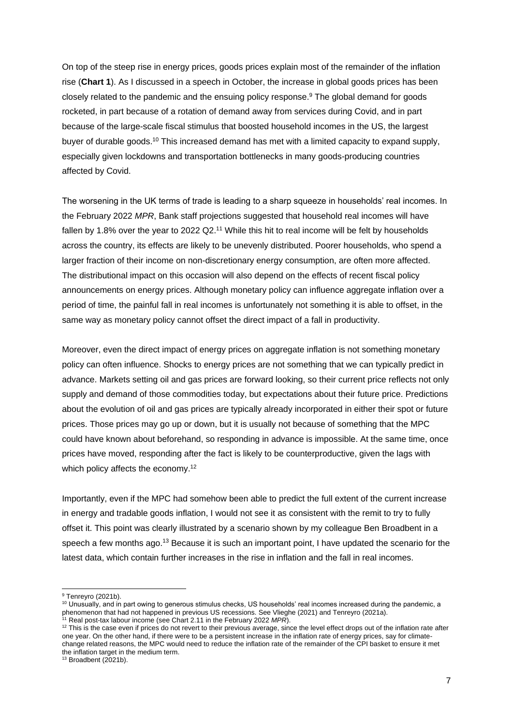On top of the steep rise in energy prices, goods prices explain most of the remainder of the inflation rise (**Chart 1**). As I discussed in a speech in October, the increase in global goods prices has been closely related to the pandemic and the ensuing policy response.<sup>9</sup> The global demand for goods rocketed, in part because of a rotation of demand away from services during Covid, and in part because of the large-scale fiscal stimulus that boosted household incomes in the US, the largest buyer of durable goods.<sup>10</sup> This increased demand has met with a limited capacity to expand supply, especially given lockdowns and transportation bottlenecks in many goods-producing countries affected by Covid.

The worsening in the UK terms of trade is leading to a sharp squeeze in households' real incomes. In the February 2022 *MPR*, Bank staff projections suggested that household real incomes will have fallen by 1.8% over the year to 2022 Q2.<sup>11</sup> While this hit to real income will be felt by households across the country, its effects are likely to be unevenly distributed. Poorer households, who spend a larger fraction of their income on non-discretionary energy consumption, are often more affected. The distributional impact on this occasion will also depend on the effects of recent fiscal policy announcements on energy prices. Although monetary policy can influence aggregate inflation over a period of time, the painful fall in real incomes is unfortunately not something it is able to offset, in the same way as monetary policy cannot offset the direct impact of a fall in productivity.

Moreover, even the direct impact of energy prices on aggregate inflation is not something monetary policy can often influence. Shocks to energy prices are not something that we can typically predict in advance. Markets setting oil and gas prices are forward looking, so their current price reflects not only supply and demand of those commodities today, but expectations about their future price. Predictions about the evolution of oil and gas prices are typically already incorporated in either their spot or future prices. Those prices may go up or down, but it is usually not because of something that the MPC could have known about beforehand, so responding in advance is impossible. At the same time, once prices have moved, responding after the fact is likely to be counterproductive, given the lags with which policy affects the economy.<sup>12</sup>

Importantly, even if the MPC had somehow been able to predict the full extent of the current increase in energy and tradable goods inflation, I would not see it as consistent with the remit to try to fully offset it. This point was clearly illustrated by a scenario shown by my colleague Ben Broadbent in a speech a few months ago.<sup>13</sup> Because it is such an important point, I have updated the scenario for the latest data, which contain further increases in the rise in inflation and the fall in real incomes.

1

<sup>&</sup>lt;sup>9</sup> Tenreyro (2021b).

<sup>10</sup> Unusually, and in part owing to generous stimulus checks, US households' real incomes increased during the pandemic, a phenomenon that had not happened in previous US recessions. See Vlieghe (2021) and Tenreyro (2021a).

<sup>11</sup> Real post-tax labour income (see Chart 2.11 in the February 2022 *MPR*).

<sup>&</sup>lt;sup>12</sup> This is the case even if prices do not revert to their previous average, since the level effect drops out of the inflation rate after one year. On the other hand, if there were to be a persistent increase in the inflation rate of energy prices, say for climatechange related reasons, the MPC would need to reduce the inflation rate of the remainder of the CPI basket to ensure it met the inflation target in the medium term.

 $13$  Broadbent (2021b).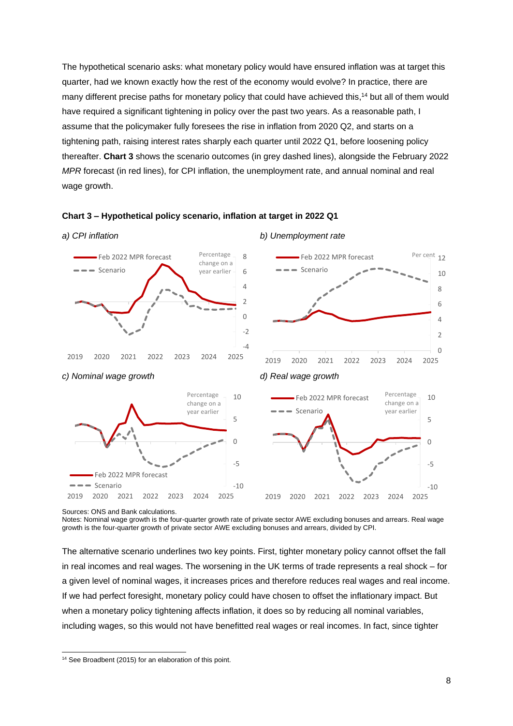The hypothetical scenario asks: what monetary policy would have ensured inflation was at target this quarter, had we known exactly how the rest of the economy would evolve? In practice, there are many different precise paths for monetary policy that could have achieved this,<sup>14</sup> but all of them would have required a significant tightening in policy over the past two years. As a reasonable path, I assume that the policymaker fully foresees the rise in inflation from 2020 Q2, and starts on a tightening path, raising interest rates sharply each quarter until 2022 Q1, before loosening policy thereafter. **Chart 3** shows the scenario outcomes (in grey dashed lines), alongside the February 2022 *MPR* forecast (in red lines), for CPI inflation, the unemployment rate, and annual nominal and real wage growth.





Sources: ONS and Bank calculations.

1

Notes: Nominal wage growth is the four-quarter growth rate of private sector AWE excluding bonuses and arrears. Real wage growth is the four-quarter growth of private sector AWE excluding bonuses and arrears, divided by CPI.

The alternative scenario underlines two key points. First, tighter monetary policy cannot offset the fall in real incomes and real wages. The worsening in the UK terms of trade represents a real shock – for a given level of nominal wages, it increases prices and therefore reduces real wages and real income. If we had perfect foresight, monetary policy could have chosen to offset the inflationary impact. But when a monetary policy tightening affects inflation, it does so by reducing all nominal variables, including wages, so this would not have benefitted real wages or real incomes. In fact, since tighter

<sup>&</sup>lt;sup>14</sup> See Broadbent (2015) for an elaboration of this point.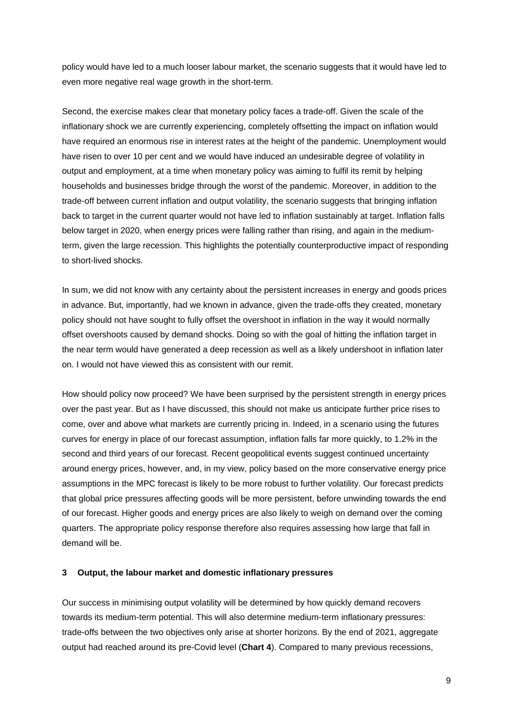policy would have led to a much looser labour market, the scenario suggests that it would have led to even more negative real wage growth in the short-term.

Second, the exercise makes clear that monetary policy faces a trade-off. Given the scale of the inflationary shock we are currently experiencing, completely offsetting the impact on inflation would have required an enormous rise in interest rates at the height of the pandemic. Unemployment would have risen to over 10 per cent and we would have induced an undesirable degree of volatility in output and employment, at a time when monetary policy was aiming to fulfil its remit by helping households and businesses bridge through the worst of the pandemic. Moreover, in addition to the trade-off between current inflation and output volatility, the scenario suggests that bringing inflation back to target in the current quarter would not have led to inflation sustainably at target. Inflation falls below target in 2020, when energy prices were falling rather than rising, and again in the mediumterm, given the large recession. This highlights the potentially counterproductive impact of responding to short-lived shocks.

In sum, we did not know with any certainty about the persistent increases in energy and goods prices in advance. But, importantly, had we known in advance, given the trade-offs they created, monetary policy should not have sought to fully offset the overshoot in inflation in the way it would normally offset overshoots caused by demand shocks. Doing so with the goal of hitting the inflation target in the near term would have generated a deep recession as well as a likely undershoot in inflation later on. I would not have viewed this as consistent with our remit.

How should policy now proceed? We have been surprised by the persistent strength in energy prices over the past year. But as I have discussed, this should not make us anticipate further price rises to come, over and above what markets are currently pricing in. Indeed, in a scenario using the futures curves for energy in place of our forecast assumption, inflation falls far more quickly, to 1.2% in the second and third years of our forecast. Recent geopolitical events suggest continued uncertainty around energy prices, however, and, in my view, policy based on the more conservative energy price assumptions in the MPC forecast is likely to be more robust to further volatility. Our forecast predicts that global price pressures affecting goods will be more persistent, before unwinding towards the end of our forecast. Higher goods and energy prices are also likely to weigh on demand over the coming quarters. The appropriate policy response therefore also requires assessing how large that fall in demand will be.

## **3 Output, the labour market and domestic inflationary pressures**

Our success in minimising output volatility will be determined by how quickly demand recovers towards its medium-term potential. This will also determine medium-term inflationary pressures: trade-offs between the two objectives only arise at shorter horizons. By the end of 2021, aggregate output had reached around its pre-Covid level (**Chart 4**). Compared to many previous recessions,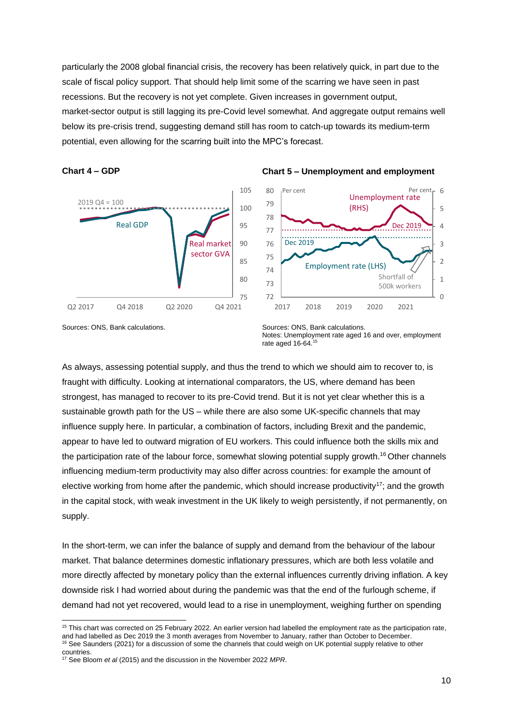particularly the 2008 global financial crisis, the recovery has been relatively quick, in part due to the scale of fiscal policy support. That should help limit some of the scarring we have seen in past recessions. But the recovery is not yet complete. Given increases in government output, market-sector output is still lagging its pre-Covid level somewhat. And aggregate output remains well below its pre-crisis trend, suggesting demand still has room to catch-up towards its medium-term potential, even allowing for the scarring built into the MPC's forecast.







Sources: ONS, Bank calculations. Sources: ONS, Bank calculations.

1

Notes: Unemployment rate aged 16 and over, employment rate aged 16-64.<sup>15</sup>

As always, assessing potential supply, and thus the trend to which we should aim to recover to, is fraught with difficulty. Looking at international comparators, the US, where demand has been strongest, has managed to recover to its pre-Covid trend. But it is not yet clear whether this is a sustainable growth path for the US – while there are also some UK-specific channels that may influence supply here. In particular, a combination of factors, including Brexit and the pandemic, appear to have led to outward migration of EU workers. This could influence both the skills mix and the participation rate of the labour force, somewhat slowing potential supply growth.<sup>16</sup> Other channels influencing medium-term productivity may also differ across countries: for example the amount of elective working from home after the pandemic, which should increase productivity<sup>17</sup>; and the growth in the capital stock, with weak investment in the UK likely to weigh persistently, if not permanently, on supply.

In the short-term, we can infer the balance of supply and demand from the behaviour of the labour market. That balance determines domestic inflationary pressures, which are both less volatile and more directly affected by monetary policy than the external influences currently driving inflation. A key downside risk I had worried about during the pandemic was that the end of the furlough scheme, if demand had not yet recovered, would lead to a rise in unemployment, weighing further on spending

<sup>&</sup>lt;sup>15</sup> This chart was corrected on 25 February 2022. An earlier version had labelled the employment rate as the participation rate, and had labelled as Dec 2019 the 3 month averages from November to January, rather than October to December. <sup>16</sup> See Saunders (2021) for a discussion of some the channels that could weigh on UK potential supply relative to other countries.

<sup>17</sup> See Bloom *et al* (2015) and the discussion in the November 2022 *MPR*.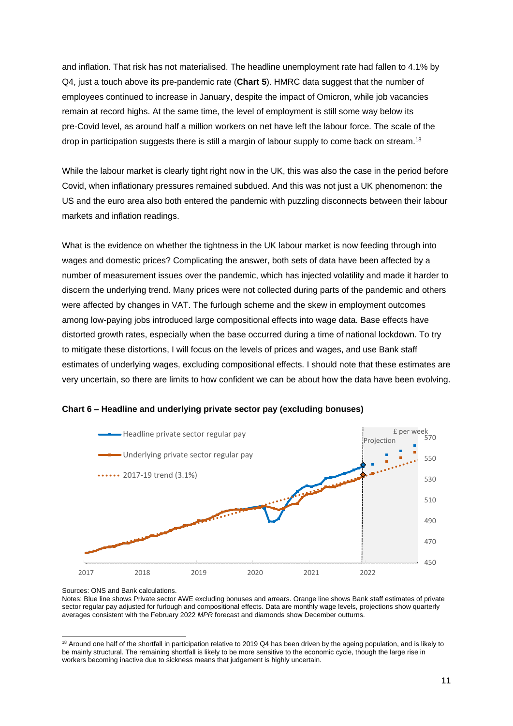and inflation. That risk has not materialised. The headline unemployment rate had fallen to 4.1% by Q4, just a touch above its pre-pandemic rate (**Chart 5**). HMRC data suggest that the number of employees continued to increase in January, despite the impact of Omicron, while job vacancies remain at record highs. At the same time, the level of employment is still some way below its pre-Covid level, as around half a million workers on net have left the labour force. The scale of the drop in participation suggests there is still a margin of labour supply to come back on stream.<sup>18</sup>

While the labour market is clearly tight right now in the UK, this was also the case in the period before Covid, when inflationary pressures remained subdued. And this was not just a UK phenomenon: the US and the euro area also both entered the pandemic with puzzling disconnects between their labour markets and inflation readings.

What is the evidence on whether the tightness in the UK labour market is now feeding through into wages and domestic prices? Complicating the answer, both sets of data have been affected by a number of measurement issues over the pandemic, which has injected volatility and made it harder to discern the underlying trend. Many prices were not collected during parts of the pandemic and others were affected by changes in VAT. The furlough scheme and the skew in employment outcomes among low-paying jobs introduced large compositional effects into wage data. Base effects have distorted growth rates, especially when the base occurred during a time of national lockdown. To try to mitigate these distortions, I will focus on the levels of prices and wages, and use Bank staff estimates of underlying wages, excluding compositional effects. I should note that these estimates are very uncertain, so there are limits to how confident we can be about how the data have been evolving.





Notes: Blue line shows Private sector AWE excluding bonuses and arrears. Orange line shows Bank staff estimates of private sector regular pay adjusted for furlough and compositional effects. Data are monthly wage levels, projections show quarterly averages consistent with the February 2022 *MPR* forecast and diamonds show December outturns.

Sources: ONS and Bank calculations.

<sup>1</sup>  $18$  Around one half of the shortfall in participation relative to 2019 Q4 has been driven by the ageing population, and is likely to be mainly structural. The remaining shortfall is likely to be more sensitive to the economic cycle, though the large rise in workers becoming inactive due to sickness means that judgement is highly uncertain.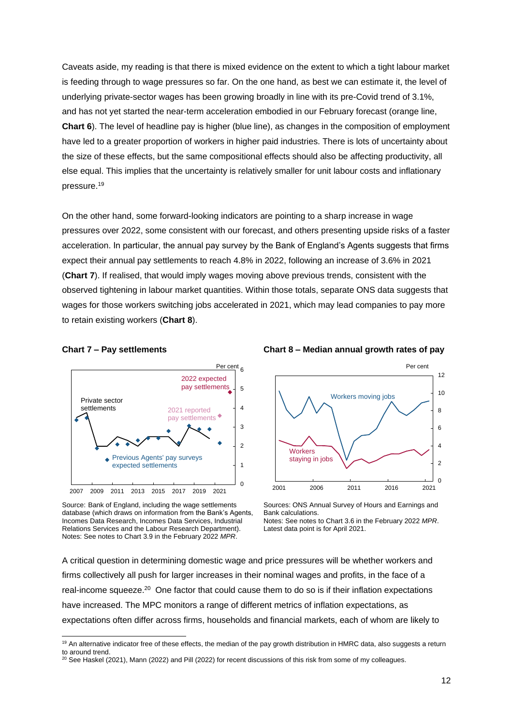Caveats aside, my reading is that there is mixed evidence on the extent to which a tight labour market is feeding through to wage pressures so far. On the one hand, as best we can estimate it, the level of underlying private-sector wages has been growing broadly in line with its pre-Covid trend of 3.1%, and has not yet started the near-term acceleration embodied in our February forecast (orange line, **Chart 6**). The level of headline pay is higher (blue line), as changes in the composition of employment have led to a greater proportion of workers in higher paid industries. There is lots of uncertainty about the size of these effects, but the same compositional effects should also be affecting productivity, all else equal. This implies that the uncertainty is relatively smaller for unit labour costs and inflationary pressure.<sup>19</sup>

On the other hand, some forward-looking indicators are pointing to a sharp increase in wage pressures over 2022, some consistent with our forecast, and others presenting upside risks of a faster acceleration. In particular, the annual pay survey by the Bank of England's Agents suggests that firms expect their annual pay settlements to reach 4.8% in 2022, following an increase of 3.6% in 2021 (**Chart 7**). If realised, that would imply wages moving above previous trends, consistent with the observed tightening in labour market quantities. Within those totals, separate ONS data suggests that wages for those workers switching jobs accelerated in 2021, which may lead companies to pay more to retain existing workers (**Chart 8**).

1



Source: Bank of England, including the wage settlements database (which draws on information from the Bank's Agents, Incomes Data Research, Incomes Data Services, Industrial Relations Services and the Labour Research Department). Notes: See notes to Chart 3.9 in the February 2022 *MPR*.





Sources: ONS Annual Survey of Hours and Earnings and Bank calculations. Notes: See notes to Chart 3.6 in the February 2022 *MPR*. Latest data point is for April 2021.

A critical question in determining domestic wage and price pressures will be whether workers and firms collectively all push for larger increases in their nominal wages and profits, in the face of a real-income squeeze.<sup>20</sup> One factor that could cause them to do so is if their inflation expectations have increased. The MPC monitors a range of different metrics of inflation expectations, as expectations often differ across firms, households and financial markets, each of whom are likely to

<sup>&</sup>lt;sup>19</sup> An alternative indicator free of these effects, the median of the pay growth distribution in HMRC data, also suggests a return to around trend.

<sup>20</sup> See Haskel (2021), Mann (2022) and Pill (2022) for recent discussions of this risk from some of my colleagues.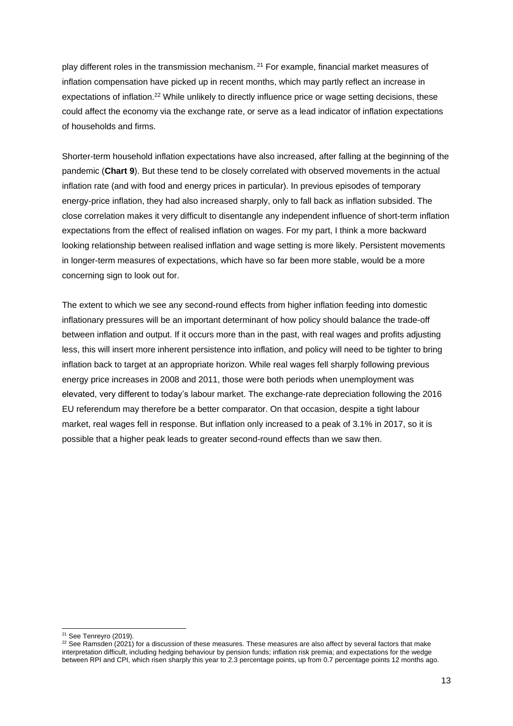play different roles in the transmission mechanism. <sup>21</sup> For example, financial market measures of inflation compensation have picked up in recent months, which may partly reflect an increase in expectations of inflation.<sup>22</sup> While unlikely to directly influence price or wage setting decisions, these could affect the economy via the exchange rate, or serve as a lead indicator of inflation expectations of households and firms.

Shorter-term household inflation expectations have also increased, after falling at the beginning of the pandemic (**Chart 9**). But these tend to be closely correlated with observed movements in the actual inflation rate (and with food and energy prices in particular). In previous episodes of temporary energy-price inflation, they had also increased sharply, only to fall back as inflation subsided. The close correlation makes it very difficult to disentangle any independent influence of short-term inflation expectations from the effect of realised inflation on wages. For my part, I think a more backward looking relationship between realised inflation and wage setting is more likely. Persistent movements in longer-term measures of expectations, which have so far been more stable, would be a more concerning sign to look out for.

The extent to which we see any second-round effects from higher inflation feeding into domestic inflationary pressures will be an important determinant of how policy should balance the trade-off between inflation and output. If it occurs more than in the past, with real wages and profits adjusting less, this will insert more inherent persistence into inflation, and policy will need to be tighter to bring inflation back to target at an appropriate horizon. While real wages fell sharply following previous energy price increases in 2008 and 2011, those were both periods when unemployment was elevated, very different to today's labour market. The exchange-rate depreciation following the 2016 EU referendum may therefore be a better comparator. On that occasion, despite a tight labour market, real wages fell in response. But inflation only increased to a peak of 3.1% in 2017, so it is possible that a higher peak leads to greater second-round effects than we saw then.

<sup>-</sup> $21$  See Tenreyro (2019).

 $22$  See Ramsden (2021) for a discussion of these measures. These measures are also affect by several factors that make interpretation difficult, including hedging behaviour by pension funds; inflation risk premia; and expectations for the wedge between RPI and CPI, which risen sharply this year to 2.3 percentage points, up from 0.7 percentage points 12 months ago.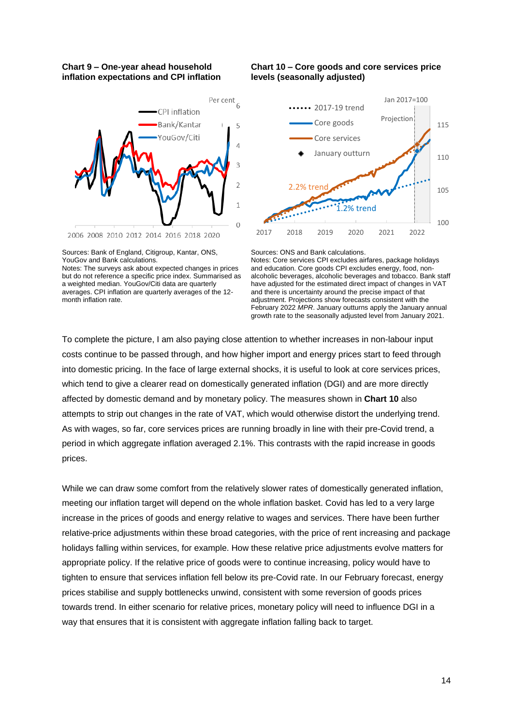### **Chart 9 – One-year ahead household inflation expectations and CPI inflation**



Sources: Bank of England, Citigroup, Kantar, ONS, YouGov and Bank calculations.

# **Chart 10 – Core goods and core services price levels (seasonally adjusted)**



Sources: ONS and Bank calculations.

Notes: Core services CPI excludes airfares, package holidays and education. Core goods CPI excludes energy, food, nonalcoholic beverages, alcoholic beverages and tobacco. Bank staff have adjusted for the estimated direct impact of changes in VAT and there is uncertainty around the precise impact of that adjustment. Projections show forecasts consistent with the February 2022 *MPR*. January outturns apply the January annual growth rate to the seasonally adjusted level from January 2021.

To complete the picture, I am also paying close attention to whether increases in non-labour input costs continue to be passed through, and how higher import and energy prices start to feed through into domestic pricing. In the face of large external shocks, it is useful to look at core services prices, which tend to give a clearer read on domestically generated inflation (DGI) and are more directly affected by domestic demand and by monetary policy. The measures shown in **Chart 10** also attempts to strip out changes in the rate of VAT, which would otherwise distort the underlying trend. As with wages, so far, core services prices are running broadly in line with their pre-Covid trend, a period in which aggregate inflation averaged 2.1%. This contrasts with the rapid increase in goods prices.

While we can draw some comfort from the relatively slower rates of domestically generated inflation, meeting our inflation target will depend on the whole inflation basket. Covid has led to a very large increase in the prices of goods and energy relative to wages and services. There have been further relative-price adjustments within these broad categories, with the price of rent increasing and package holidays falling within services, for example. How these relative price adjustments evolve matters for appropriate policy. If the relative price of goods were to continue increasing, policy would have to tighten to ensure that services inflation fell below its pre-Covid rate. In our February forecast, energy prices stabilise and supply bottlenecks unwind, consistent with some reversion of goods prices towards trend. In either scenario for relative prices, monetary policy will need to influence DGI in a way that ensures that it is consistent with aggregate inflation falling back to target.

Notes: The surveys ask about expected changes in prices but do not reference a specific price index. Summarised as a weighted median. YouGov/Citi data are quarterly averages. CPI inflation are quarterly averages of the 12 month inflation rate.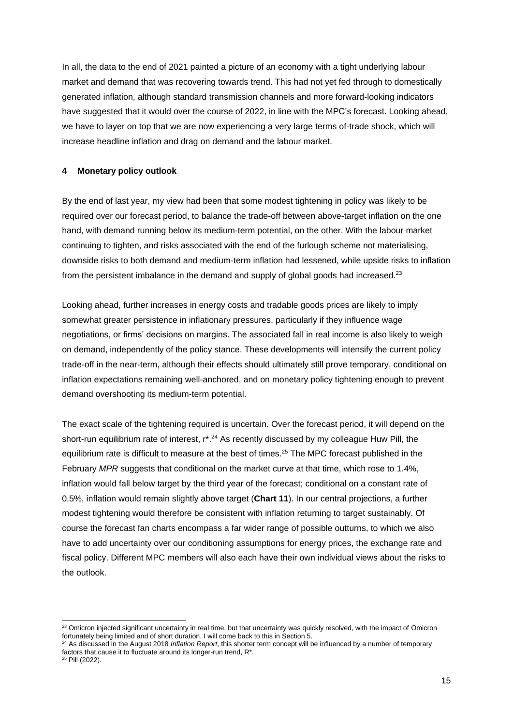In all, the data to the end of 2021 painted a picture of an economy with a tight underlying labour market and demand that was recovering towards trend. This had not yet fed through to domestically generated inflation, although standard transmission channels and more forward-looking indicators have suggested that it would over the course of 2022, in line with the MPC's forecast. Looking ahead, we have to layer on top that we are now experiencing a very large terms of-trade shock, which will increase headline inflation and drag on demand and the labour market.

# **4 Monetary policy outlook**

By the end of last year, my view had been that some modest tightening in policy was likely to be required over our forecast period, to balance the trade-off between above-target inflation on the one hand, with demand running below its medium-term potential, on the other. With the labour market continuing to tighten, and risks associated with the end of the furlough scheme not materialising, downside risks to both demand and medium-term inflation had lessened, while upside risks to inflation from the persistent imbalance in the demand and supply of global goods had increased.<sup>23</sup>

Looking ahead, further increases in energy costs and tradable goods prices are likely to imply somewhat greater persistence in inflationary pressures, particularly if they influence wage negotiations, or firms' decisions on margins. The associated fall in real income is also likely to weigh on demand, independently of the policy stance. These developments will intensify the current policy trade-off in the near-term, although their effects should ultimately still prove temporary, conditional on inflation expectations remaining well-anchored, and on monetary policy tightening enough to prevent demand overshooting its medium-term potential.

The exact scale of the tightening required is uncertain. Over the forecast period, it will depend on the short-run equilibrium rate of interest, r<sup>\*</sup>.<sup>24</sup> As recently discussed by my colleague Huw Pill, the equilibrium rate is difficult to measure at the best of times. <sup>25</sup> The MPC forecast published in the February *MPR* suggests that conditional on the market curve at that time, which rose to 1.4%, inflation would fall below target by the third year of the forecast; conditional on a constant rate of 0.5%, inflation would remain slightly above target (**Chart 11**). In our central projections, a further modest tightening would therefore be consistent with inflation returning to target sustainably. Of course the forecast fan charts encompass a far wider range of possible outturns, to which we also have to add uncertainty over our conditioning assumptions for energy prices, the exchange rate and fiscal policy. Different MPC members will also each have their own individual views about the risks to the outlook.

1

<sup>&</sup>lt;sup>23</sup> Omicron injected significant uncertainty in real time, but that uncertainty was quickly resolved, with the impact of Omicron fortunately being limited and of short duration. I will come back to this in Section 5.

<sup>24</sup> As discussed in the August 2018 *Inflation Report*, this shorter term concept will be influenced by a number of temporary factors that cause it to fluctuate around its longer-run trend, R\*.

 $25$  Pill (2022).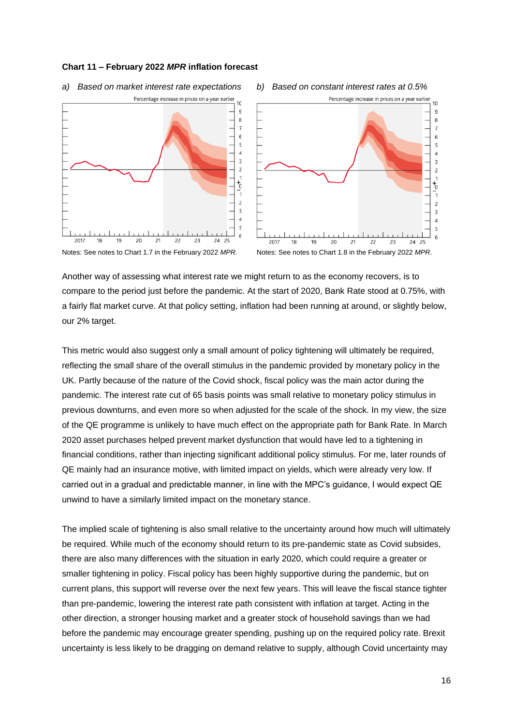#### **Chart 11 – February 2022** *MPR* **inflation forecast**









Another way of assessing what interest rate we might return to as the economy recovers, is to compare to the period just before the pandemic. At the start of 2020, Bank Rate stood at 0.75%, with a fairly flat market curve. At that policy setting, inflation had been running at around, or slightly below, our 2% target.

This metric would also suggest only a small amount of policy tightening will ultimately be required, reflecting the small share of the overall stimulus in the pandemic provided by monetary policy in the UK. Partly because of the nature of the Covid shock, fiscal policy was the main actor during the pandemic. The interest rate cut of 65 basis points was small relative to monetary policy stimulus in previous downturns, and even more so when adjusted for the scale of the shock. In my view, the size of the QE programme is unlikely to have much effect on the appropriate path for Bank Rate. In March 2020 asset purchases helped prevent market dysfunction that would have led to a tightening in financial conditions, rather than injecting significant additional policy stimulus. For me, later rounds of QE mainly had an insurance motive, with limited impact on yields, which were already very low. If carried out in a gradual and predictable manner, in line with the MPC's guidance, I would expect QE unwind to have a similarly limited impact on the monetary stance.

The implied scale of tightening is also small relative to the uncertainty around how much will ultimately be required. While much of the economy should return to its pre-pandemic state as Covid subsides, there are also many differences with the situation in early 2020, which could require a greater or smaller tightening in policy. Fiscal policy has been highly supportive during the pandemic, but on current plans, this support will reverse over the next few years. This will leave the fiscal stance tighter than pre-pandemic, lowering the interest rate path consistent with inflation at target. Acting in the other direction, a stronger housing market and a greater stock of household savings than we had before the pandemic may encourage greater spending, pushing up on the required policy rate. Brexit uncertainty is less likely to be dragging on demand relative to supply, although Covid uncertainty may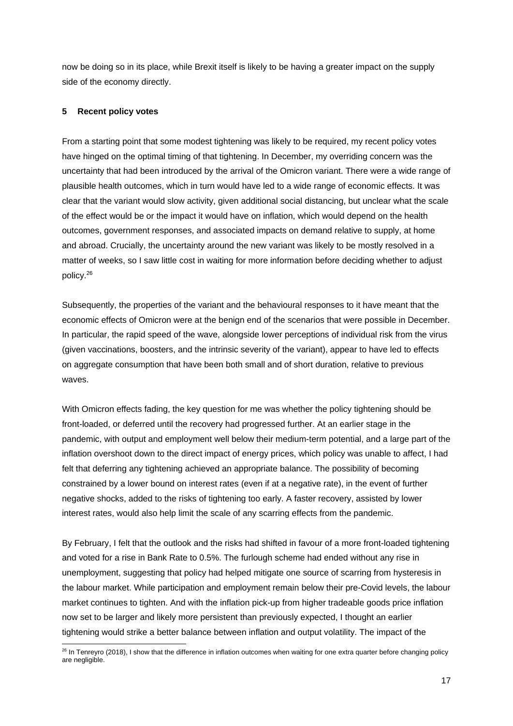now be doing so in its place, while Brexit itself is likely to be having a greater impact on the supply side of the economy directly.

# **5 Recent policy votes**

From a starting point that some modest tightening was likely to be required, my recent policy votes have hinged on the optimal timing of that tightening. In December, my overriding concern was the uncertainty that had been introduced by the arrival of the Omicron variant. There were a wide range of plausible health outcomes, which in turn would have led to a wide range of economic effects. It was clear that the variant would slow activity, given additional social distancing, but unclear what the scale of the effect would be or the impact it would have on inflation, which would depend on the health outcomes, government responses, and associated impacts on demand relative to supply, at home and abroad. Crucially, the uncertainty around the new variant was likely to be mostly resolved in a matter of weeks, so I saw little cost in waiting for more information before deciding whether to adjust policy.<sup>26</sup>

Subsequently, the properties of the variant and the behavioural responses to it have meant that the economic effects of Omicron were at the benign end of the scenarios that were possible in December. In particular, the rapid speed of the wave, alongside lower perceptions of individual risk from the virus (given vaccinations, boosters, and the intrinsic severity of the variant), appear to have led to effects on aggregate consumption that have been both small and of short duration, relative to previous waves.

With Omicron effects fading, the key question for me was whether the policy tightening should be front-loaded, or deferred until the recovery had progressed further. At an earlier stage in the pandemic, with output and employment well below their medium-term potential, and a large part of the inflation overshoot down to the direct impact of energy prices, which policy was unable to affect, I had felt that deferring any tightening achieved an appropriate balance. The possibility of becoming constrained by a lower bound on interest rates (even if at a negative rate), in the event of further negative shocks, added to the risks of tightening too early. A faster recovery, assisted by lower interest rates, would also help limit the scale of any scarring effects from the pandemic.

By February, I felt that the outlook and the risks had shifted in favour of a more front-loaded tightening and voted for a rise in Bank Rate to 0.5%. The furlough scheme had ended without any rise in unemployment, suggesting that policy had helped mitigate one source of scarring from hysteresis in the labour market. While participation and employment remain below their pre-Covid levels, the labour market continues to tighten. And with the inflation pick-up from higher tradeable goods price inflation now set to be larger and likely more persistent than previously expected, I thought an earlier tightening would strike a better balance between inflation and output volatility. The impact of the

<sup>1</sup>  $26$  In Tenreyro (2018), I show that the difference in inflation outcomes when waiting for one extra quarter before changing policy are negligible.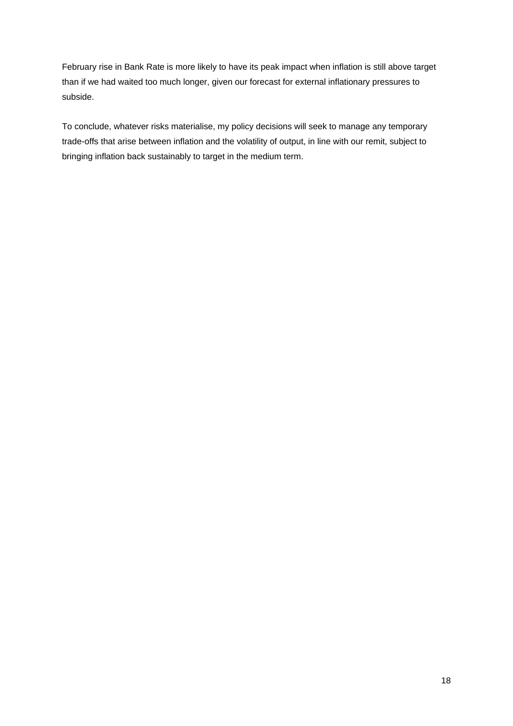February rise in Bank Rate is more likely to have its peak impact when inflation is still above target than if we had waited too much longer, given our forecast for external inflationary pressures to subside.

To conclude, whatever risks materialise, my policy decisions will seek to manage any temporary trade-offs that arise between inflation and the volatility of output, in line with our remit, subject to bringing inflation back sustainably to target in the medium term.